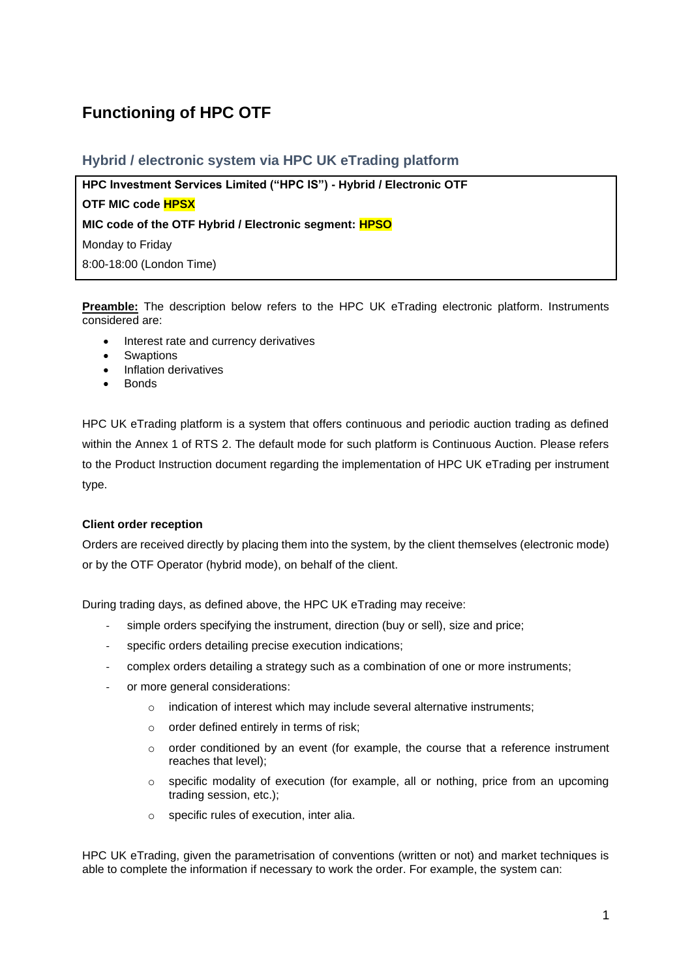# **Functioning of HPC OTF**

# **Hybrid / electronic system via HPC UK eTrading platform**

**HPC Investment Services Limited ("HPC IS") - Hybrid / Electronic OTF**

**OTF MIC code HPSX**

**MIC code of the OTF Hybrid / Electronic segment: HPSO**

Monday to Friday

8:00-18:00 (London Time)

**Preamble:** The description below refers to the HPC UK eTrading electronic platform. Instruments considered are:

- Interest rate and currency derivatives
- **Swaptions**
- Inflation derivatives
- Bonds

HPC UK eTrading platform is a system that offers continuous and periodic auction trading as defined within the Annex 1 of RTS 2. The default mode for such platform is Continuous Auction. Please refers to the Product Instruction document regarding the implementation of HPC UK eTrading per instrument type.

# **Client order reception**

Orders are received directly by placing them into the system, by the client themselves (electronic mode) or by the OTF Operator (hybrid mode), on behalf of the client.

During trading days, as defined above, the HPC UK eTrading may receive:

- simple orders specifying the instrument, direction (buy or sell), size and price;
- specific orders detailing precise execution indications;
- complex orders detailing a strategy such as a combination of one or more instruments;
- or more general considerations:
	- o indication of interest which may include several alternative instruments;
	- o order defined entirely in terms of risk;
	- $\circ$  order conditioned by an event (for example, the course that a reference instrument reaches that level);
	- $\circ$  specific modality of execution (for example, all or nothing, price from an upcoming trading session, etc.);
	- o specific rules of execution, inter alia.

HPC UK eTrading, given the parametrisation of conventions (written or not) and market techniques is able to complete the information if necessary to work the order. For example, the system can: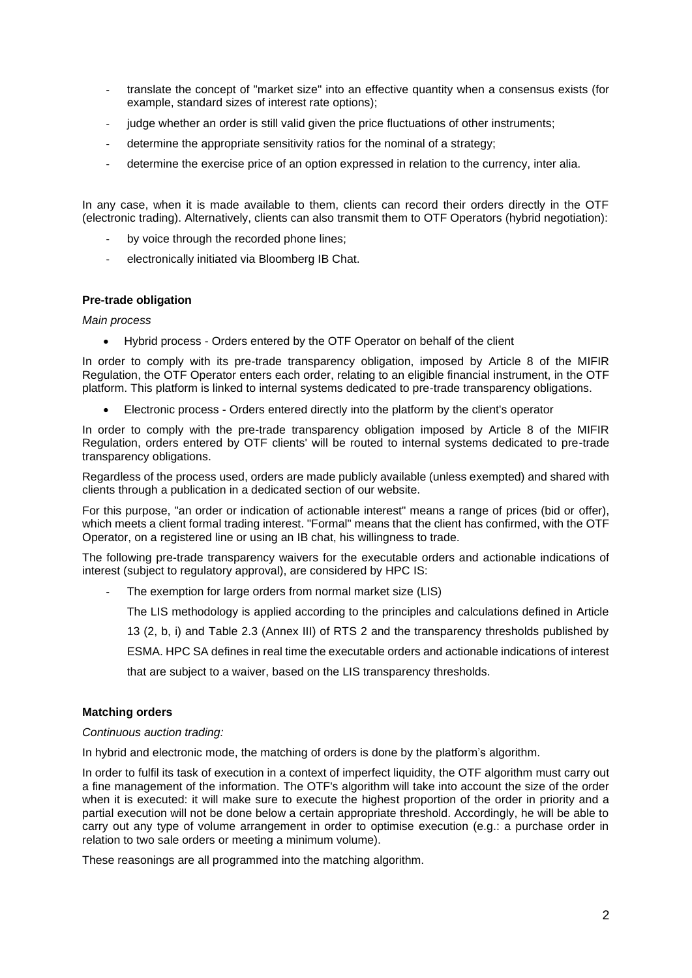- translate the concept of "market size" into an effective quantity when a consensus exists (for example, standard sizes of interest rate options);
- judge whether an order is still valid given the price fluctuations of other instruments;
- determine the appropriate sensitivity ratios for the nominal of a strategy;
- determine the exercise price of an option expressed in relation to the currency, inter alia.

In any case, when it is made available to them, clients can record their orders directly in the OTF (electronic trading). Alternatively, clients can also transmit them to OTF Operators (hybrid negotiation):

- by voice through the recorded phone lines;
- electronically initiated via Bloomberg IB Chat.

### **Pre-trade obligation**

### *Main process*

• Hybrid process - Orders entered by the OTF Operator on behalf of the client

In order to comply with its pre-trade transparency obligation, imposed by Article 8 of the MIFIR Regulation, the OTF Operator enters each order, relating to an eligible financial instrument, in the OTF platform. This platform is linked to internal systems dedicated to pre-trade transparency obligations.

• Electronic process - Orders entered directly into the platform by the client's operator

In order to comply with the pre-trade transparency obligation imposed by Article 8 of the MIFIR Regulation, orders entered by OTF clients' will be routed to internal systems dedicated to pre-trade transparency obligations.

Regardless of the process used, orders are made publicly available (unless exempted) and shared with clients through a publication in a dedicated section of our website.

For this purpose, "an order or indication of actionable interest" means a range of prices (bid or offer), which meets a client formal trading interest. "Formal" means that the client has confirmed, with the OTF Operator, on a registered line or using an IB chat, his willingness to trade.

The following pre-trade transparency waivers for the executable orders and actionable indications of interest (subject to regulatory approval), are considered by HPC IS:

The exemption for large orders from normal market size (LIS)

The LIS methodology is applied according to the principles and calculations defined in Article

13 (2, b, i) and Table 2.3 (Annex III) of RTS 2 and the transparency thresholds published by

ESMA. HPC SA defines in real time the executable orders and actionable indications of interest

that are subject to a waiver, based on the LIS transparency thresholds.

### **Matching orders**

*Continuous auction trading:*

In hybrid and electronic mode, the matching of orders is done by the platform's algorithm.

In order to fulfil its task of execution in a context of imperfect liquidity, the OTF algorithm must carry out a fine management of the information. The OTF's algorithm will take into account the size of the order when it is executed: it will make sure to execute the highest proportion of the order in priority and a partial execution will not be done below a certain appropriate threshold. Accordingly, he will be able to carry out any type of volume arrangement in order to optimise execution (e.g.: a purchase order in relation to two sale orders or meeting a minimum volume).

These reasonings are all programmed into the matching algorithm.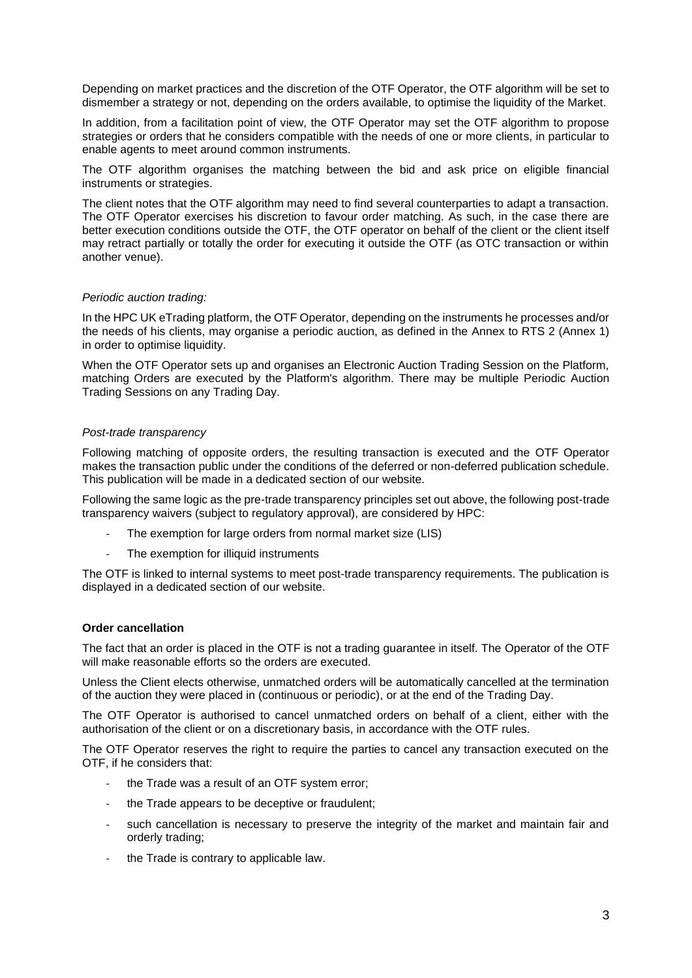Depending on market practices and the discretion of the OTF Operator, the OTF algorithm will be set to dismember a strategy or not, depending on the orders available, to optimise the liquidity of the Market.

In addition, from a facilitation point of view, the OTF Operator may set the OTF algorithm to propose strategies or orders that he considers compatible with the needs of one or more clients, in particular to enable agents to meet around common instruments.

The OTF algorithm organises the matching between the bid and ask price on eligible financial instruments or strategies.

The client notes that the OTF algorithm may need to find several counterparties to adapt a transaction. The OTF Operator exercises his discretion to favour order matching. As such, in the case there are better execution conditions outside the OTF, the OTF operator on behalf of the client or the client itself may retract partially or totally the order for executing it outside the OTF (as OTC transaction or within another venue).

# *Periodic auction trading:*

In the HPC UK eTrading platform, the OTF Operator, depending on the instruments he processes and/or the needs of his clients, may organise a periodic auction, as defined in the Annex to RTS 2 (Annex 1) in order to optimise liquidity.

When the OTF Operator sets up and organises an Electronic Auction Trading Session on the Platform, matching Orders are executed by the Platform's algorithm. There may be multiple Periodic Auction Trading Sessions on any Trading Day.

# *Post-trade transparency*

Following matching of opposite orders, the resulting transaction is executed and the OTF Operator makes the transaction public under the conditions of the deferred or non-deferred publication schedule. This publication will be made in a dedicated section of our website.

Following the same logic as the pre-trade transparency principles set out above, the following post-trade transparency waivers (subject to regulatory approval), are considered by HPC:

- The exemption for large orders from normal market size (LIS)
- The exemption for illiquid instruments

The OTF is linked to internal systems to meet post-trade transparency requirements. The publication is displayed in a dedicated section of our website.

# **Order cancellation**

The fact that an order is placed in the OTF is not a trading guarantee in itself. The Operator of the OTF will make reasonable efforts so the orders are executed.

Unless the Client elects otherwise, unmatched orders will be automatically cancelled at the termination of the auction they were placed in (continuous or periodic), or at the end of the Trading Day.

The OTF Operator is authorised to cancel unmatched orders on behalf of a client, either with the authorisation of the client or on a discretionary basis, in accordance with the OTF rules.

The OTF Operator reserves the right to require the parties to cancel any transaction executed on the OTF, if he considers that:

- the Trade was a result of an OTF system error:
- the Trade appears to be deceptive or fraudulent;
- such cancellation is necessary to preserve the integrity of the market and maintain fair and orderly trading;
- the Trade is contrary to applicable law.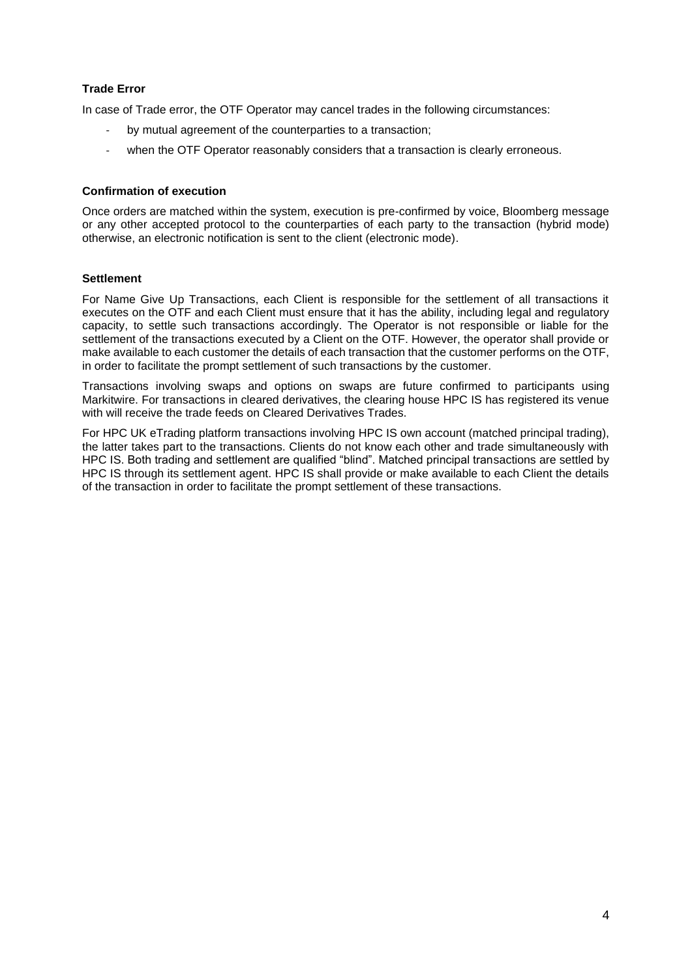# **Trade Error**

In case of Trade error, the OTF Operator may cancel trades in the following circumstances:

- by mutual agreement of the counterparties to a transaction;
- when the OTF Operator reasonably considers that a transaction is clearly erroneous.

# **Confirmation of execution**

Once orders are matched within the system, execution is pre-confirmed by voice, Bloomberg message or any other accepted protocol to the counterparties of each party to the transaction (hybrid mode) otherwise, an electronic notification is sent to the client (electronic mode).

# **Settlement**

For Name Give Up Transactions, each Client is responsible for the settlement of all transactions it executes on the OTF and each Client must ensure that it has the ability, including legal and regulatory capacity, to settle such transactions accordingly. The Operator is not responsible or liable for the settlement of the transactions executed by a Client on the OTF. However, the operator shall provide or make available to each customer the details of each transaction that the customer performs on the OTF, in order to facilitate the prompt settlement of such transactions by the customer.

Transactions involving swaps and options on swaps are future confirmed to participants using Markitwire. For transactions in cleared derivatives, the clearing house HPC IS has registered its venue with will receive the trade feeds on Cleared Derivatives Trades.

For HPC UK eTrading platform transactions involving HPC IS own account (matched principal trading), the latter takes part to the transactions. Clients do not know each other and trade simultaneously with HPC IS. Both trading and settlement are qualified "blind". Matched principal transactions are settled by HPC IS through its settlement agent. HPC IS shall provide or make available to each Client the details of the transaction in order to facilitate the prompt settlement of these transactions.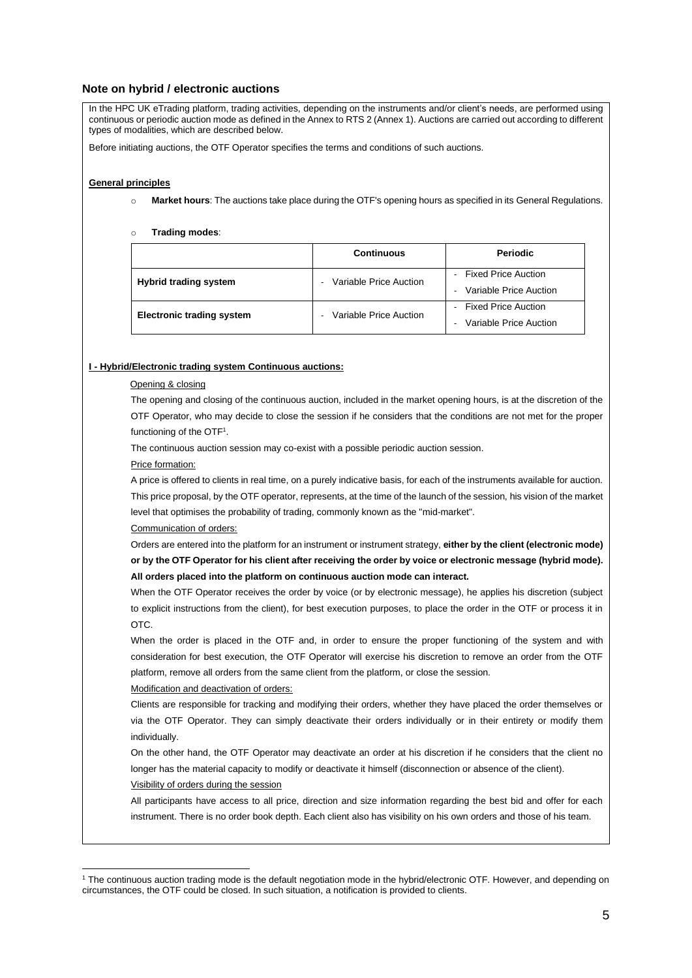### **Note on hybrid / electronic auctions**

In the HPC UK eTrading platform, trading activities, depending on the instruments and/or client's needs, are performed using continuous or periodic auction mode as defined in the Annex to RTS 2 (Annex 1). Auctions are carried out according to different types of modalities, which are described below.

Before initiating auctions, the OTF Operator specifies the terms and conditions of such auctions.

#### **General principles**

- o **Market hours**: The auctions take place during the OTF's opening hours as specified in its General Regulations.
- o **Trading modes**:

|                                  | <b>Continuous</b>      | Periodic                                                                         |
|----------------------------------|------------------------|----------------------------------------------------------------------------------|
| <b>Hybrid trading system</b>     | Variable Price Auction | <b>Fixed Price Auction</b><br>Variable Price Auction                             |
| <b>Electronic trading system</b> | Variable Price Auction | <b>Fixed Price Auction</b><br>Variable Price Auction<br>$\overline{\phantom{0}}$ |

#### **I - Hybrid/Electronic trading system Continuous auctions:**

#### Opening & closing

The opening and closing of the continuous auction, included in the market opening hours, is at the discretion of the OTF Operator, who may decide to close the session if he considers that the conditions are not met for the proper functioning of the OTF<sup>1</sup>.

The continuous auction session may co-exist with a possible periodic auction session.

#### Price formation:

A price is offered to clients in real time, on a purely indicative basis, for each of the instruments available for auction. This price proposal, by the OTF operator, represents, at the time of the launch of the session, his vision of the market level that optimises the probability of trading, commonly known as the "mid-market".

#### Communication of orders:

Orders are entered into the platform for an instrument or instrument strategy, **either by the client (electronic mode) or by the OTF Operator for his client after receiving the order by voice or electronic message (hybrid mode). All orders placed into the platform on continuous auction mode can interact.**

When the OTF Operator receives the order by voice (or by electronic message), he applies his discretion (subject to explicit instructions from the client), for best execution purposes, to place the order in the OTF or process it in OTC.

When the order is placed in the OTF and, in order to ensure the proper functioning of the system and with consideration for best execution, the OTF Operator will exercise his discretion to remove an order from the OTF platform, remove all orders from the same client from the platform, or close the session.

#### Modification and deactivation of orders:

Clients are responsible for tracking and modifying their orders, whether they have placed the order themselves or via the OTF Operator. They can simply deactivate their orders individually or in their entirety or modify them individually.

On the other hand, the OTF Operator may deactivate an order at his discretion if he considers that the client no longer has the material capacity to modify or deactivate it himself (disconnection or absence of the client).

Visibility of orders during the session

All participants have access to all price, direction and size information regarding the best bid and offer for each instrument. There is no order book depth. Each client also has visibility on his own orders and those of his team.

<sup>1</sup> The continuous auction trading mode is the default negotiation mode in the hybrid/electronic OTF. However, and depending on circumstances, the OTF could be closed. In such situation, a notification is provided to clients.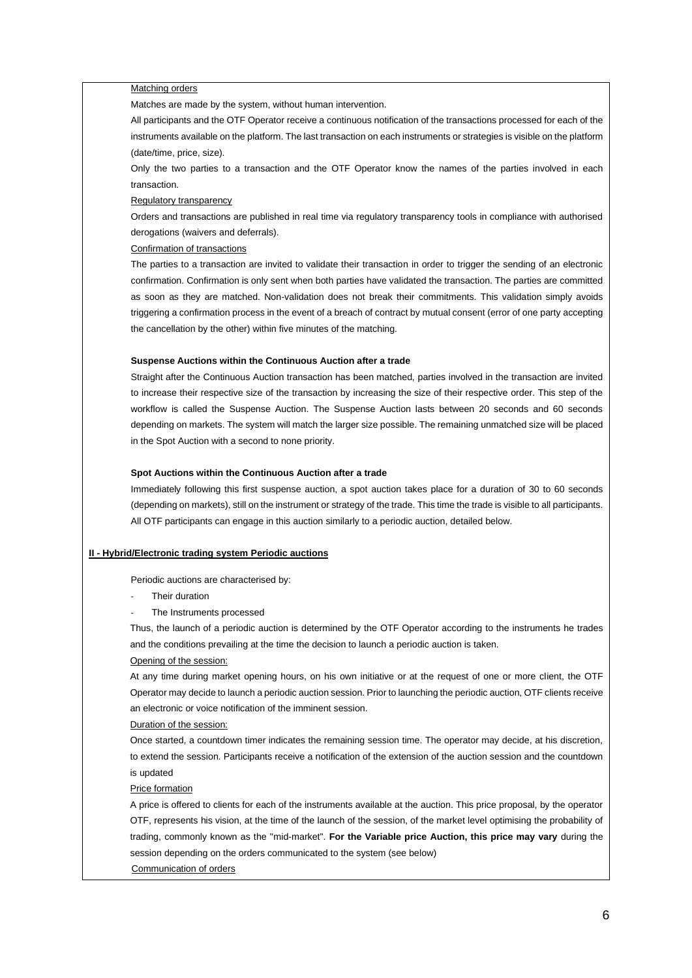#### Matching orders

Matches are made by the system, without human intervention.

All participants and the OTF Operator receive a continuous notification of the transactions processed for each of the instruments available on the platform. The last transaction on each instruments or strategies is visible on the platform (date/time, price, size).

Only the two parties to a transaction and the OTF Operator know the names of the parties involved in each transaction.

#### Regulatory transparency

Orders and transactions are published in real time via regulatory transparency tools in compliance with authorised derogations (waivers and deferrals).

Confirmation of transactions

The parties to a transaction are invited to validate their transaction in order to trigger the sending of an electronic confirmation. Confirmation is only sent when both parties have validated the transaction. The parties are committed as soon as they are matched. Non-validation does not break their commitments. This validation simply avoids triggering a confirmation process in the event of a breach of contract by mutual consent (error of one party accepting the cancellation by the other) within five minutes of the matching.

#### **Suspense Auctions within the Continuous Auction after a trade**

Straight after the Continuous Auction transaction has been matched, parties involved in the transaction are invited to increase their respective size of the transaction by increasing the size of their respective order. This step of the workflow is called the Suspense Auction. The Suspense Auction lasts between 20 seconds and 60 seconds depending on markets. The system will match the larger size possible. The remaining unmatched size will be placed in the Spot Auction with a second to none priority.

#### **Spot Auctions within the Continuous Auction after a trade**

Immediately following this first suspense auction, a spot auction takes place for a duration of 30 to 60 seconds (depending on markets), still on the instrument or strategy of the trade. This time the trade is visible to all participants. All OTF participants can engage in this auction similarly to a periodic auction, detailed below.

#### **II - Hybrid/Electronic trading system Periodic auctions**

Periodic auctions are characterised by:

- Their duration
- The Instruments processed

Thus, the launch of a periodic auction is determined by the OTF Operator according to the instruments he trades and the conditions prevailing at the time the decision to launch a periodic auction is taken.

#### Opening of the session:

At any time during market opening hours, on his own initiative or at the request of one or more client, the OTF Operator may decide to launch a periodic auction session. Prior to launching the periodic auction, OTF clients receive an electronic or voice notification of the imminent session.

#### Duration of the session:

Once started, a countdown timer indicates the remaining session time. The operator may decide, at his discretion, to extend the session. Participants receive a notification of the extension of the auction session and the countdown is updated

#### Price formation

A price is offered to clients for each of the instruments available at the auction. This price proposal, by the operator OTF, represents his vision, at the time of the launch of the session, of the market level optimising the probability of trading, commonly known as the "mid-market". **For the Variable price Auction, this price may vary** during the session depending on the orders communicated to the system (see below)

### Communication of orders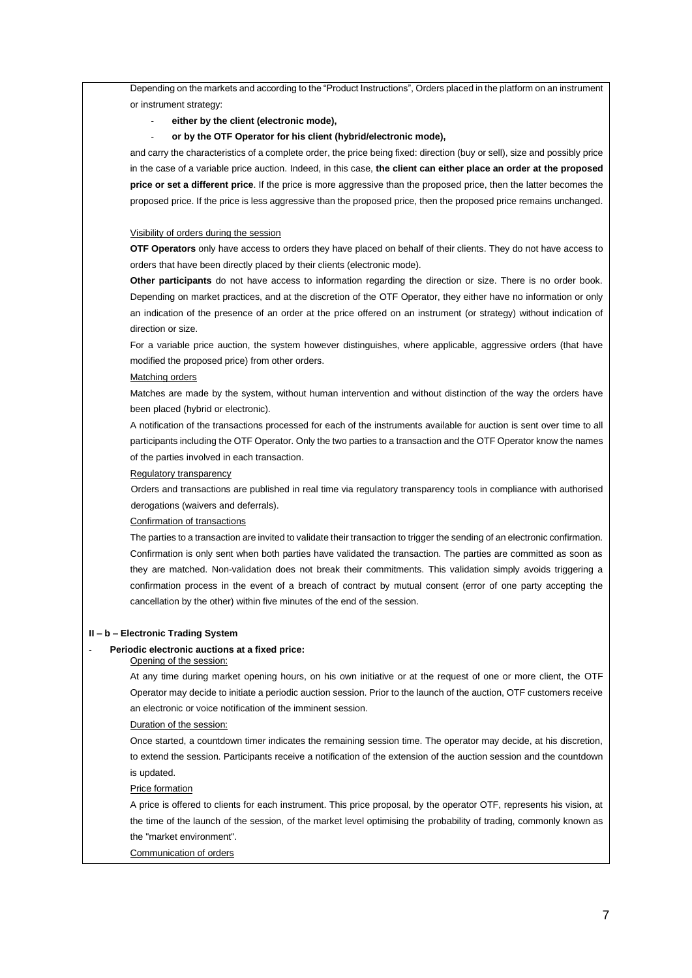Depending on the markets and according to the "Product Instructions", Orders placed in the platform on an instrument or instrument strategy:

- either by the client (electronic mode),
- **or by the OTF Operator for his client (hybrid/electronic mode),**

and carry the characteristics of a complete order, the price being fixed: direction (buy or sell), size and possibly price in the case of a variable price auction. Indeed, in this case, **the client can either place an order at the proposed price or set a different price**. If the price is more aggressive than the proposed price, then the latter becomes the proposed price. If the price is less aggressive than the proposed price, then the proposed price remains unchanged.

#### Visibility of orders during the session

**OTF Operators** only have access to orders they have placed on behalf of their clients. They do not have access to orders that have been directly placed by their clients (electronic mode).

**Other participants** do not have access to information regarding the direction or size. There is no order book. Depending on market practices, and at the discretion of the OTF Operator, they either have no information or only an indication of the presence of an order at the price offered on an instrument (or strategy) without indication of direction or size.

For a variable price auction, the system however distinguishes, where applicable, aggressive orders (that have modified the proposed price) from other orders.

#### Matching orders

Matches are made by the system, without human intervention and without distinction of the way the orders have been placed (hybrid or electronic).

A notification of the transactions processed for each of the instruments available for auction is sent over time to all participants including the OTF Operator. Only the two parties to a transaction and the OTF Operator know the names of the parties involved in each transaction.

#### Regulatory transparency

Orders and transactions are published in real time via regulatory transparency tools in compliance with authorised derogations (waivers and deferrals).

#### Confirmation of transactions

The parties to a transaction are invited to validate their transaction to trigger the sending of an electronic confirmation. Confirmation is only sent when both parties have validated the transaction. The parties are committed as soon as they are matched. Non-validation does not break their commitments. This validation simply avoids triggering a confirmation process in the event of a breach of contract by mutual consent (error of one party accepting the cancellation by the other) within five minutes of the end of the session.

#### **II – b – Electronic Trading System**

#### Periodic electronic auctions at a fixed price:

Opening of the session:

At any time during market opening hours, on his own initiative or at the request of one or more client, the OTF Operator may decide to initiate a periodic auction session. Prior to the launch of the auction, OTF customers receive an electronic or voice notification of the imminent session.

Duration of the session:

Once started, a countdown timer indicates the remaining session time. The operator may decide, at his discretion, to extend the session. Participants receive a notification of the extension of the auction session and the countdown is updated.

Price formation

A price is offered to clients for each instrument. This price proposal, by the operator OTF, represents his vision, at the time of the launch of the session, of the market level optimising the probability of trading, commonly known as the "market environment".

#### Communication of orders